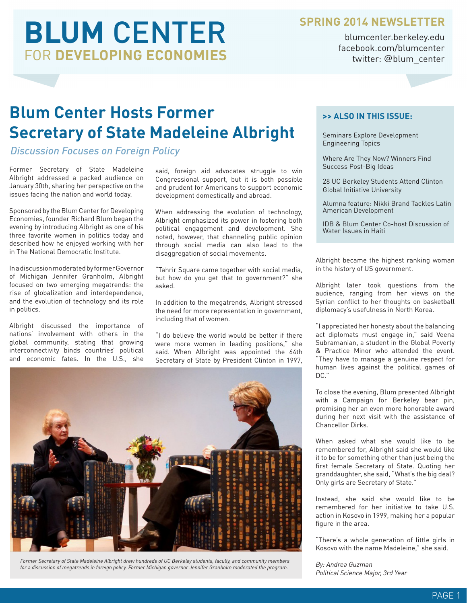# **BLUM** CENTER FOR **DEVELOPING ECONOMIES**

#### **SPRING 2014 NEWSLETTER**

blumcenter.berkeley.edu facebook.com/blumcenter twitter: @blum\_center

### **Blum Center Hosts Former Secretary of State Madeleine Albright**

#### *Discussion Focuses on Foreign Policy*

Former Secretary of State Madeleine Albright addressed a packed audience on January 30th, sharing her perspective on the issues facing the nation and world today.

Sponsored by the Blum Center for Developing Economies, founder Richard Blum began the evening by introducing Albright as one of his three favorite women in politics today and described how he enjoyed working with her in The National Democratic Institute.

In a discussion moderated by former Governor of Michigan Jennifer Granholm, Albright focused on two emerging megatrends: the rise of globalization and interdependence, and the evolution of technology and its role in politics.

Albright discussed the importance of nations' involvement with others in the global community, stating that growing interconnectivity binds countries' political and economic fates. In the U.S., she

said, foreign aid advocates struggle to win Congressional support, but it is both possible and prudent for Americans to support economic development domestically and abroad.

When addressing the evolution of technology, Albright emphasized its power in fostering both political engagement and development. She noted, however, that channeling public opinion through social media can also lead to the disaggregation of social movements.

"Tahrir Square came together with social media, but how do you get that to government?" she asked.

In addition to the megatrends, Albright stressed the need for more representation in government, including that of women.

"I do believe the world would be better if there were more women in leading positions," she said. When Albright was appointed the 64th Secretary of State by President Clinton in 1997,



*Former Secretary of State Madeleine Albright drew hundreds of UC Berkeley students, faculty, and community members for a discussion of megatrends in foreign policy. Former Michigan governor Jennifer Granholm moderated the program.*

#### **>> ALSO IN THIS ISSUE:**

Seminars Explore Development Engineering Topics

Where Are They Now? Winners Find Success Post-Big Ideas

28 UC Berkeley Students Attend Clinton Global Initiative University

Alumna feature: Nikki Brand Tackles Latin American Development

IDB & Blum Center Co-host Discussion of Water Issues in Haiti

Albright became the highest ranking woman in the history of US government.

Albright later took questions from the audience, ranging from her views on the Syrian conflict to her thoughts on basketball diplomacy's usefulness in North Korea.

"I appreciated her honesty about the balancing act diplomats must engage in," said Veena Subramanian, a student in the Global Poverty & Practice Minor who attended the event. "They have to manage a genuine respect for human lives against the political games of DC."

To close the evening, Blum presented Albright with a Campaign for Berkeley bear pin, promising her an even more honorable award during her next visit with the assistance of Chancellor Dirks.

When asked what she would like to be remembered for, Albright said she would like it to be for something other than just being the first female Secretary of State. Quoting her granddaughter, she said, "What's the big deal? Only girls are Secretary of State."

Instead, she said she would like to be remembered for her initiative to take U.S. action in Kosovo in 1999, making her a popular figure in the area.

"There's a whole generation of little girls in Kosovo with the name Madeleine," she said.

*By: Andrea Guzman Political Science Major, 3rd Year*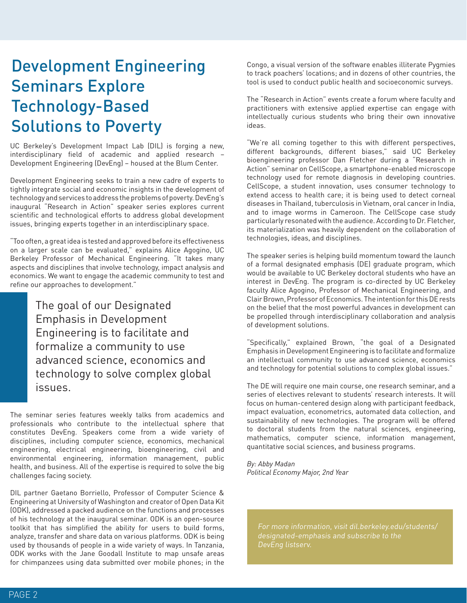### Development Engineering Seminars Explore Technology-Based Solutions to Poverty

UC Berkeley's Development Impact Lab (DIL) is forging a new, interdisciplinary field of academic and applied research – Development Engineering (DevEng) – housed at the Blum Center.

Development Engineering seeks to train a new cadre of experts to tightly integrate social and economic insights in the development of technology and services to address the problems of poverty. DevEng's inaugural "Research in Action" speaker series explores current scientific and technological efforts to address global development issues, bringing experts together in an interdisciplinary space.

"Too often, a great idea is tested and approved before its effectiveness on a larger scale can be evaluated," explains Alice Agogino, UC Berkeley Professor of Mechanical Engineering. "It takes many aspects and disciplines that involve technology, impact analysis and economics. We want to engage the academic community to test and refine our approaches to development."

> The goal of our Designated Emphasis in Development Engineering is to facilitate and formalize a community to use advanced science, economics and technology to solve complex global issues.

The seminar series features weekly talks from academics and professionals who contribute to the intellectual sphere that constitutes DevEng. Speakers come from a wide variety of disciplines, including computer science, economics, mechanical engineering, electrical engineering, bioengineering, civil and environmental engineering, information management, public health, and business. All of the expertise is required to solve the big challenges facing society.

DIL partner Gaetano Borriello, Professor of Computer Science & Engineering at University of Washington and creator of Open Data Kit (ODK), addressed a packed audience on the functions and processes of his technology at the inaugural seminar. ODK is an open-source toolkit that has simplified the ability for users to build forms, analyze, transfer and share data on various platforms. ODK is being used by thousands of people in a wide variety of ways. In Tanzania, ODK works with the Jane Goodall Institute to map unsafe areas for chimpanzees using data submitted over mobile phones; in the

Congo, a visual version of the software enables illiterate Pygmies to track poachers' locations; and in dozens of other countries, the tool is used to conduct public health and socioeconomic surveys.

The "Research in Action" events create a forum where faculty and practitioners with extensive applied expertise can engage with intellectually curious students who bring their own innovative ideas.

"We're all coming together to this with different perspectives, different backgrounds, different biases," said UC Berkeley bioengineering professor Dan Fletcher during a "Research in Action" seminar on CellScope, a smartphone-enabled microscope technology used for remote diagnosis in developing countries. CellScope, a student innovation, uses consumer technology to extend access to health care; it is being used to detect corneal diseases in Thailand, tuberculosis in Vietnam, oral cancer in India, and to image worms in Cameroon. The CellScope case study particularly resonated with the audience. According to Dr. Fletcher, its materialization was heavily dependent on the collaboration of technologies, ideas, and disciplines.

The speaker series is helping build momentum toward the launch of a formal designated emphasis (DE) graduate program, which would be available to UC Berkeley doctoral students who have an interest in DevEng. The program is co-directed by UC Berkeley faculty Alice Agogino, Professor of Mechanical Engineering, and Clair Brown, Professor of Economics. The intention for this DE rests on the belief that the most powerful advances in development can be propelled through interdisciplinary collaboration and analysis of development solutions.

"Specifically," explained Brown, "the goal of a Designated Emphasis in Development Engineering is to facilitate and formalize an intellectual community to use advanced science, economics and technology for potential solutions to complex global issues."

The DE will require one main course, one research seminar, and a series of electives relevant to students' research interests. It will focus on human-centered design along with participant feedback, impact evaluation, econometrics, automated data collection, and sustainability of new technologies. The program will be offered to doctoral students from the natural sciences, engineering, mathematics, computer science, information management, quantitative social sciences, and business programs.

*By: Abby Madan Political Economy Major, 2nd Year*

DevEng listserv.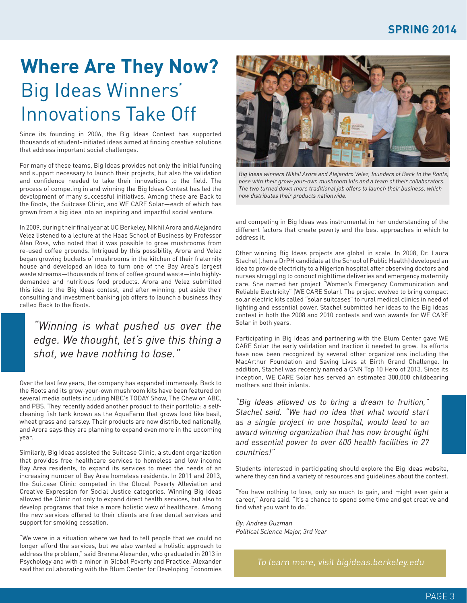## **Where Are They Now?** Big Ideas Winners' Innovations Take Off

Since its founding in 2006, the Big Ideas Contest has supported thousands of student-initiated ideas aimed at finding creative solutions that address important social challenges.

For many of these teams, Big Ideas provides not only the initial funding and support necessary to launch their projects, but also the validation and confidence needed to take their innovations to the field. The process of competing in and winning the Big Ideas Contest has led the development of many successful initiatives. Among these are Back to the Roots, the Suitcase Clinic, and WE CARE Solar—each of which has grown from a big idea into an inspiring and impactful social venture.

In 2009, during their final year at UC Berkeley, Nikhil Arora and Alejandro Velez listened to a lecture at the Haas School of Business by Professor Alan Ross, who noted that it was possible to grow mushrooms from re-used coffee grounds. Intrigued by this possibility, Arora and Velez began growing buckets of mushrooms in the kitchen of their fraternity house and developed an idea to turn one of the Bay Area's largest waste streams—thousands of tons of coffee ground waste—into highlydemanded and nutritious food products. Arora and Velez submitted this idea to the Big Ideas contest, and after winning, put aside their consulting and investment banking job offers to launch a business they called Back to the Roots.

*"Winning is what pushed us over the edge. We thought, let's give this thing a shot, we have nothing to lose."*

Over the last few years, the company has expanded immensely. Back to the Roots and its grow-your-own mushroom kits have been featured on several media outlets including NBC's TODAY Show, The Chew on ABC, and PBS. They recently added another product to their portfolio: a selfcleaning fish tank known as the AquaFarm that grows food like basil, wheat grass and parsley. Their products are now distributed nationally, and Arora says they are planning to expand even more in the upcoming year.

Similarly, Big Ideas assisted the Suitcase Clinic, a student organization that provides free healthcare services to homeless and low-income Bay Area residents, to expand its services to meet the needs of an increasing number of Bay Area homeless residents. In 2011 and 2013, the Suitcase Clinic competed in the Global Poverty Alleviation and Creative Expression for Social Justice categories. Winning Big Ideas allowed the Clinic not only to expand direct health services, but also to develop programs that take a more holistic view of healthcare. Among the new services offered to their clients are free dental services and support for smoking cessation.

"We were in a situation where we had to tell people that we could no longer afford the services, but we also wanted a holistic approach to address the problem," said Brenna Alexander, who graduated in 2013 in Psychology and with a minor in Global Poverty and Practice. Alexander said that collaborating with the Blum Center for Developing Economies



*Big Ideas winners Nikhil Arora and Alejandro Velez, founders of Back to the Roots, pose with their grow-your-own mushroom kits and a team of their collaborators. The two turned down more traditional job offers to launch their business, which now distributes their products nationwide.*

and competing in Big Ideas was instrumental in her understanding of the different factors that create poverty and the best approaches in which to address it.

Other winning Big Ideas projects are global in scale. In 2008, Dr. Laura Stachel (then a DrPH candidate at the School of Public Health) developed an idea to provide electricity to a Nigerian hospital after observing doctors and nurses struggling to conduct nighttime deliveries and emergency maternity care. She named her project "Women's Emergency Communication and Reliable Electricity" (WE CARE Solar). The project evolved to bring compact solar electric kits called "solar suitcases" to rural medical clinics in need of lighting and essential power. Stachel submitted her ideas to the Big Ideas contest in both the 2008 and 2010 contests and won awards for WE CARE Solar in both years.

Participating in Big Ideas and partnering with the Blum Center gave WE CARE Solar the early validation and traction it needed to grow. Its efforts have now been recognized by several other organizations including the MacArthur Foundation and Saving Lives at Birth Grand Challenge. In addition, Stachel was recently named a CNN Top 10 Hero of 2013. Since its inception, WE CARE Solar has served an estimated 300,000 childbearing mothers and their infants.

*"Big Ideas allowed us to bring a dream to fruition," Stachel said. "We had no idea that what would start as a single project in one hospital, would lead to an award winning organization that has now brought light and essential power to over 600 health facilities in 27 countries!"*

Students interested in participating should explore the Big Ideas website, where they can find a variety of resources and guidelines about the contest.

"You have nothing to lose, only so much to gain, and might even gain a career," Arora said. "It's a chance to spend some time and get creative and find what you want to do."

*By: Andrea Guzman Political Science Major, 3rd Year*

To learn more, visit bigideas.berkeley.edu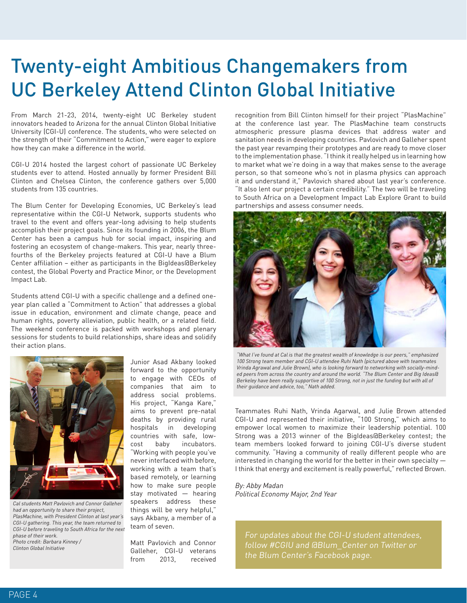## Twenty-eight Ambitious Changemakers from UC Berkeley Attend Clinton Global Initiative

From March 21-23, 2014, twenty-eight UC Berkeley student innovators headed to Arizona for the annual Clinton Global Initiative University (CGI-U) conference. The students, who were selected on the strength of their "Commitment to Action," were eager to explore how they can make a difference in the world.

CGI-U 2014 hosted the largest cohort of passionate UC Berkeley students ever to attend. Hosted annually by former President Bill Clinton and Chelsea Clinton, the conference gathers over 5,000 students from 135 countries.

The Blum Center for Developing Economies, UC Berkeley's lead representative within the CGI-U Network, supports students who travel to the event and offers year-long advising to help students accomplish their project goals. Since its founding in 2006, the Blum Center has been a campus hub for social impact, inspiring and fostering an ecosystem of change-makers. This year, nearly threefourths of the Berkeley projects featured at CGI-U have a Blum Center affiliation – either as participants in the BigIdeas@Berkeley contest, the Global Poverty and Practice Minor, or the Development Impact Lab.

Students attend CGI-U with a specific challenge and a defined oneyear plan called a "Commitment to Action" that addresses a global issue in education, environment and climate change, peace and human rights, poverty alleviation, public health, or a related field. The weekend conference is packed with workshops and plenary sessions for students to build relationships, share ideas and solidify their action plans.



*Cal students Matt Pavlovich and Connor Galleher had an opportunity to share their project, PlasMachine, with President Clinton at last year's CGI-U gathering. This year, the team returned to CGI-U before traveling to South Africa for the next phase of their work. Photo credit: Barbara Kinney / Clinton Global Initiative*

Junior Asad Akbany looked forward to the opportunity to engage with CEOs of companies that aim to address social problems. His project, "Kanga Kare," aims to prevent pre-natal deaths by providing rural hospitals in developing countries with safe, lowcost baby incubators. "Working with people you've never interfaced with before, working with a team that's based remotely, or learning how to make sure people stay motivated — hearing speakers address these things will be very helpful," says Akbany, a member of a team of seven.

Matt Pavlovich and Connor Galleher, CGI-U veterans from 2013, received

recognition from Bill Clinton himself for their project "PlasMachine" at the conference last year. The PlasMachine team constructs atmospheric pressure plasma devices that address water and sanitation needs in developing countries. Pavlovich and Galleher spent the past year revamping their prototypes and are ready to move closer to the implementation phase. "I think it really helped us in learning how to market what we're doing in a way that makes sense to the average person, so that someone who's not in plasma physics can approach it and understand it," Pavlovich shared about last year's conference. "It also lent our project a certain credibility." The two will be traveling to South Africa on a Development Impact Lab Explore Grant to build partnerships and assess consumer needs.



*"What I've found at Cal is that the greatest wealth of knowledge is our peers," emphasized 100 Strong team member and CGI-U attendee Ruhi Nath (pictured above with teammates Vrinda Agrawal and Julie Brown), who is looking forward to networking with socially-minded peers from across the country and around the world. "The Blum Center and Big Ideas@ Berkeley have been really supportive of 100 Strong, not in just the funding but with all of their guidance and advice, too," Nath added.*

Teammates Ruhi Nath, Vrinda Agarwal, and Julie Brown attended CGI-U and represented their initiative, "100 Strong," which aims to empower local women to maximize their leadership potential. 100 Strong was a 2013 winner of the BigIdeas@Berkeley contest; the team members looked forward to joining CGI-U's diverse student community. "Having a community of really different people who are interested in changing the world for the better in their own specialty — I think that energy and excitement is really powerful," reflected Brown.

*By: Abby Madan Political Economy Major, 2nd Year*

For updates about the CGI-U student attendees, follow #CGIU and @Blum\_Center on Twitter or the Blum Center's Facebook page.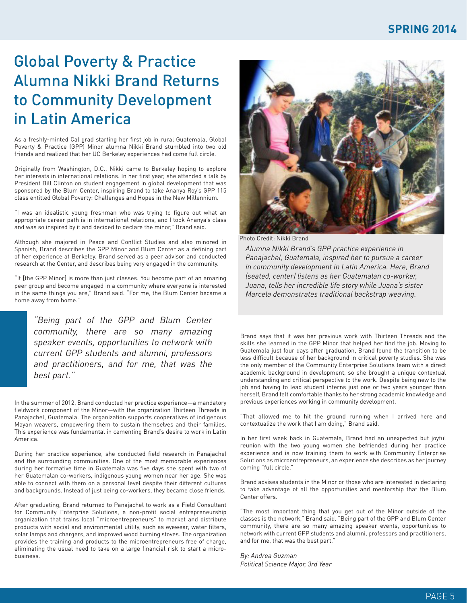#### **SPRING 2014**

### Global Poverty & Practice Alumna Nikki Brand Returns to Community Development in Latin America

As a freshly-minted Cal grad starting her first job in rural Guatemala, Global Poverty & Practice (GPP) Minor alumna Nikki Brand stumbled into two old friends and realized that her UC Berkeley experiences had come full circle.

Originally from Washington, D.C., Nikki came to Berkeley hoping to explore her interests in international relations. In her first year, she attended a talk by President Bill Clinton on student engagement in global development that was sponsored by the Blum Center, inspiring Brand to take Ananya Roy's GPP 115 class entitled Global Poverty: Challenges and Hopes in the New Millennium.

"I was an idealistic young freshman who was trying to figure out what an appropriate career path is in international relations, and I took Ananya's class and was so inspired by it and decided to declare the minor," Brand said.

Although she majored in Peace and Conflict Studies and also minored in Spanish, Brand describes the GPP Minor and Blum Center as a defining part of her experience at Berkeley. Brand served as a peer advisor and conducted research at the Center, and describes being very engaged in the community.

"It [the GPP Minor] is more than just classes. You become part of an amazing peer group and become engaged in a community where everyone is interested in the same things you are," Brand said. "For me, the Blum Center became a home away from home."

*"Being part of the GPP and Blum Center community, there are so many amazing speaker events, opportunities to network with current GPP students and alumni, professors and practitioners, and for me, that was the best part."*

In the summer of 2012, Brand conducted her practice experience—a mandatory fieldwork component of the Minor—with the organization Thirteen Threads in Panajachel, Guatemala. The organization supports cooperatives of indigenous Mayan weavers, empowering them to sustain themselves and their families. This experience was fundamental in cementing Brand's desire to work in Latin America.

During her practice experience, she conducted field research in Panajachel and the surrounding communities. One of the most memorable experiences during her formative time in Guatemala was five days she spent with two of her Guatemalan co-workers, indigenous young women near her age. She was able to connect with them on a personal level despite their different cultures and backgrounds. Instead of just being co-workers, they became close friends.

After graduating, Brand returned to Panajachel to work as a Field Consultant for Community Enterprise Solutions, a non-profit social entrepreneurship organization that trains local "microentrepreneurs" to market and distribute products with social and environmental utility, such as eyewear, water filters, solar lamps and chargers, and improved wood burning stoves. The organization provides the training and products to the microentrepreneurs free of charge, eliminating the usual need to take on a large financial risk to start a microbusiness.



Photo Credit: Nikki Brand

*Alumna Nikki Brand's GPP practice experience in Panajachel, Guatemala, inspired her to pursue a career in community development in Latin America. Here, Brand (seated, center) listens as her Guatemalan co-worker, Juana, tells her incredible life story while Juana's sister Marcela demonstrates traditional backstrap weaving.* 

Brand says that it was her previous work with Thirteen Threads and the skills she learned in the GPP Minor that helped her find the job. Moving to Guatemala just four days after graduation, Brand found the transition to be less difficult because of her background in critical poverty studies. She was the only member of the Community Enterprise Solutions team with a direct academic background in development, so she brought a unique contextual understanding and critical perspective to the work. Despite being new to the job and having to lead student interns just one or two years younger than herself, Brand felt comfortable thanks to her strong academic knowledge and previous experiences working in community development.

"That allowed me to hit the ground running when I arrived here and contextualize the work that I am doing," Brand said.

In her first week back in Guatemala, Brand had an unexpected but joyful reunion with the two young women she befriended during her practice experience and is now training them to work with Community Enterprise Solutions as microentrepreneurs, an experience she describes as her journey coming "full circle."

Brand advises students in the Minor or those who are interested in declaring to take advantage of all the opportunities and mentorship that the Blum Center offers.

"The most important thing that you get out of the Minor outside of the classes is the network," Brand said. "Being part of the GPP and Blum Center community, there are so many amazing speaker events, opportunities to network with current GPP students and alumni, professors and practitioners, and for me, that was the best part."

*By: Andrea Guzman Political Science Major, 3rd Year*